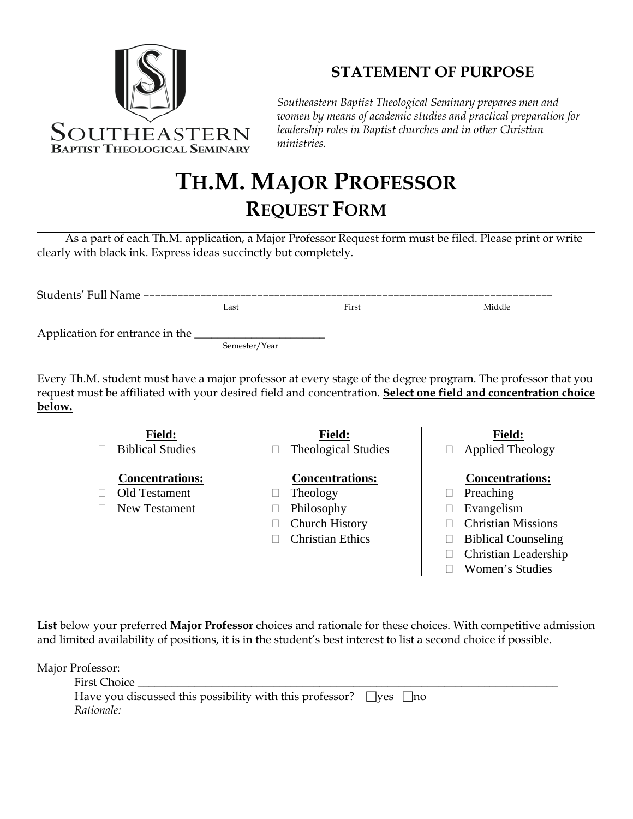

## **STATEMENT OF PURPOSE**

*Southeastern Baptist Theological Seminary prepares men and women by means of academic studies and practical preparation for leadership roles in Baptist churches and in other Christian ministries.*

## **TH.M. MAJOR PROFESSOR REQUEST FORM**

As a part of each Th.M. application, a Major Professor Request form must be filed. Please print or write clearly with black ink. Express ideas succinctly but completely.

| Students' Full Name -------------------------- |               |       |        |  |
|------------------------------------------------|---------------|-------|--------|--|
|                                                | Last          | First | Middle |  |
| Application for entrance in the                |               |       |        |  |
|                                                | Semester/Year |       |        |  |

Every Th.M. student must have a major professor at every stage of the degree program. The professor that you request must be affiliated with your desired field and concentration. **Select one field and concentration choice below.**



**List** below your preferred **Major Professor** choices and rationale for these choices. With competitive admission and limited availability of positions, it is in the student's best interest to list a second choice if possible.

Major Professor:

| First Choice                                                                  |  |
|-------------------------------------------------------------------------------|--|
| Have you discussed this possibility with this professor? $\Box$ yes $\Box$ no |  |
| Rationale:                                                                    |  |